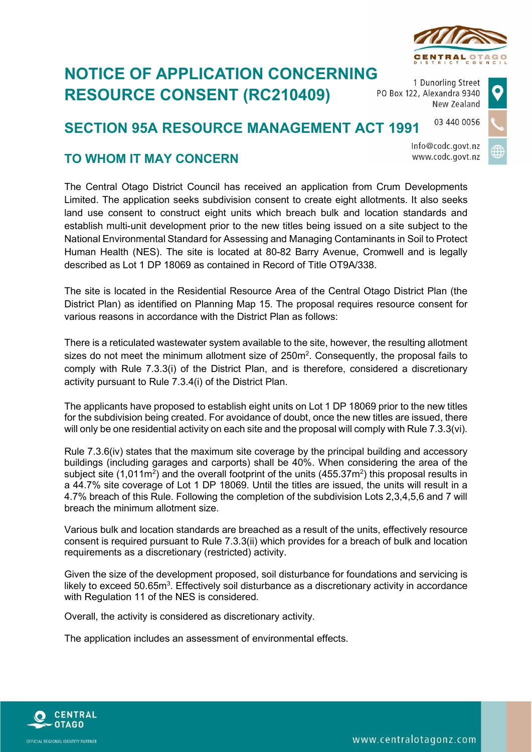

## **NOTICE OF APPLICATION CONCERNING RESOURCE CONSENT (RC210409)**

1 Dunorling Street PO Box 122, Alexandra 9340 New Zealand

## 03 440 0056 **SECTION 95A RESOURCE MANAGEMENT ACT 1991**

Info@codc.govt.nz www.codc.govt.nz

## **TO WHOM IT MAY CONCERN**

The Central Otago District Council has received an application from Crum Developments Limited. The application seeks subdivision consent to create eight allotments. It also seeks land use consent to construct eight units which breach bulk and location standards and establish multi-unit development prior to the new titles being issued on a site subject to the National Environmental Standard for Assessing and Managing Contaminants in Soil to Protect Human Health (NES). The site is located at 80-82 Barry Avenue, Cromwell and is legally described as Lot 1 DP 18069 as contained in Record of Title OT9A/338.

The site is located in the Residential Resource Area of the Central Otago District Plan (the District Plan) as identified on Planning Map 15. The proposal requires resource consent for various reasons in accordance with the District Plan as follows:

There is a reticulated wastewater system available to the site, however, the resulting allotment sizes do not meet the minimum allotment size of  $250m^2$ . Consequently, the proposal fails to comply with Rule 7.3.3(i) of the District Plan, and is therefore, considered a discretionary activity pursuant to Rule 7.3.4(i) of the District Plan.

The applicants have proposed to establish eight units on Lot 1 DP 18069 prior to the new titles for the subdivision being created. For avoidance of doubt, once the new titles are issued, there will only be one residential activity on each site and the proposal will comply with Rule 7.3.3(vi).

Rule 7.3.6(iv) states that the maximum site coverage by the principal building and accessory buildings (including garages and carports) shall be 40%. When considering the area of the subject site (1,011m<sup>2</sup>) and the overall footprint of the units (455.37m<sup>2</sup>) this proposal results in a 44.7% site coverage of Lot 1 DP 18069. Until the titles are issued, the units will result in a 4.7% breach of this Rule. Following the completion of the subdivision Lots 2,3,4,5,6 and 7 will breach the minimum allotment size.

Various bulk and location standards are breached as a result of the units, effectively resource consent is required pursuant to Rule 7.3.3(ii) which provides for a breach of bulk and location requirements as a discretionary (restricted) activity.

Given the size of the development proposed, soil disturbance for foundations and servicing is likely to exceed 50.65 $\mathsf{m}^{3}$ . Effectively soil disturbance as a discretionary activity in accordance with Regulation 11 of the NES is considered.

Overall, the activity is considered as discretionary activity.

The application includes an assessment of environmental effects.